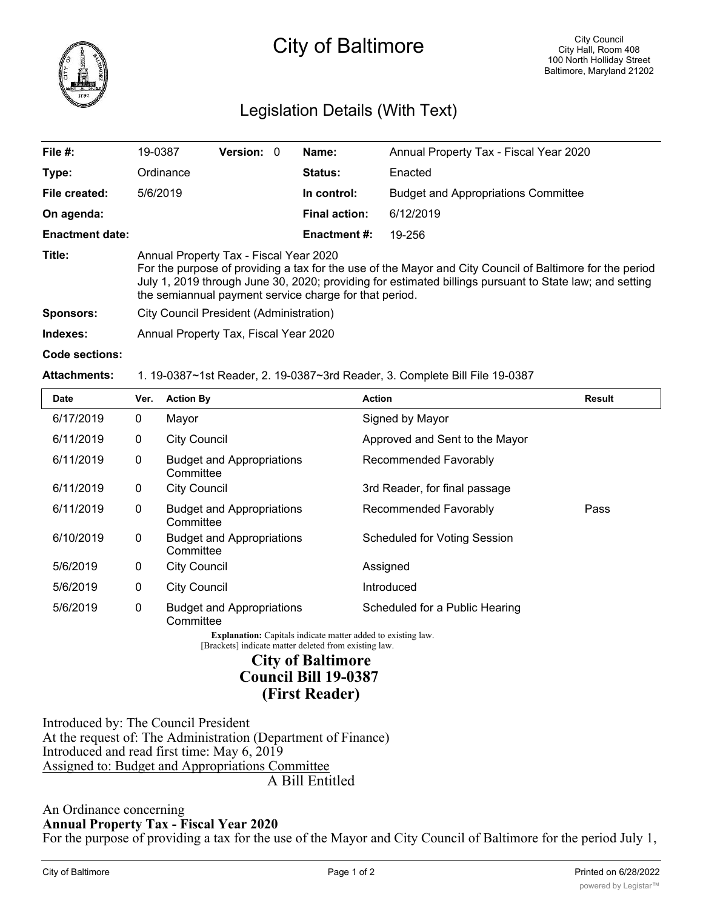

## Legislation Details (With Text)

| File #:                | 19-0387                                                                                                                                                                                                                                                                                                                 | <b>Version: 0</b> |  | Name:                | Annual Property Tax - Fiscal Year 2020     |  |  |
|------------------------|-------------------------------------------------------------------------------------------------------------------------------------------------------------------------------------------------------------------------------------------------------------------------------------------------------------------------|-------------------|--|----------------------|--------------------------------------------|--|--|
| Type:                  | Ordinance                                                                                                                                                                                                                                                                                                               |                   |  | Status:              | Enacted                                    |  |  |
| File created:          | 5/6/2019                                                                                                                                                                                                                                                                                                                |                   |  | In control:          | <b>Budget and Appropriations Committee</b> |  |  |
| On agenda:             |                                                                                                                                                                                                                                                                                                                         |                   |  | <b>Final action:</b> | 6/12/2019                                  |  |  |
| <b>Enactment date:</b> |                                                                                                                                                                                                                                                                                                                         |                   |  | <b>Enactment #:</b>  | 19-256                                     |  |  |
| Title:                 | Annual Property Tax - Fiscal Year 2020<br>For the purpose of providing a tax for the use of the Mayor and City Council of Baltimore for the period<br>July 1, 2019 through June 30, 2020; providing for estimated billings pursuant to State law; and setting<br>the semiannual payment service charge for that period. |                   |  |                      |                                            |  |  |
| <b>Sponsors:</b>       | City Council President (Administration)                                                                                                                                                                                                                                                                                 |                   |  |                      |                                            |  |  |
| Indexes:               | Annual Property Tax, Fiscal Year 2020                                                                                                                                                                                                                                                                                   |                   |  |                      |                                            |  |  |
| Code sections:         |                                                                                                                                                                                                                                                                                                                         |                   |  |                      |                                            |  |  |

## **Attachments:** 1. 19-0387~1st Reader, 2. 19-0387~3rd Reader, 3. Complete Bill File 19-0387

| <b>Date</b> | Ver.         | <b>Action By</b>                              | <b>Action</b>                       | <b>Result</b> |
|-------------|--------------|-----------------------------------------------|-------------------------------------|---------------|
| 6/17/2019   | 0            | Mayor                                         | Signed by Mayor                     |               |
| 6/11/2019   | 0            | <b>City Council</b>                           | Approved and Sent to the Mayor      |               |
| 6/11/2019   | $\mathbf{0}$ | <b>Budget and Appropriations</b><br>Committee | Recommended Favorably               |               |
| 6/11/2019   | 0            | <b>City Council</b>                           | 3rd Reader, for final passage       |               |
| 6/11/2019   | 0            | <b>Budget and Appropriations</b><br>Committee | Recommended Favorably               | Pass          |
| 6/10/2019   | $\mathbf 0$  | <b>Budget and Appropriations</b><br>Committee | <b>Scheduled for Voting Session</b> |               |
| 5/6/2019    | 0            | <b>City Council</b>                           | Assigned                            |               |
| 5/6/2019    | 0            | <b>City Council</b>                           | Introduced                          |               |
| 5/6/2019    | 0            | <b>Budget and Appropriations</b><br>Committee | Scheduled for a Public Hearing      |               |

**Explanation:** Capitals indicate matter added to existing law. [Brackets] indicate matter deleted from existing law.

> **City of Baltimore Council Bill 19-0387**

## **(First Reader)**

Introduced by: The Council President At the request of: The Administration (Department of Finance) Introduced and read first time: May 6, 2019 Assigned to: Budget and Appropriations Committee A Bill Entitled

An Ordinance concerning **Annual Property Tax - Fiscal Year 2020**

For the purpose of providing a tax for the use of the Mayor and City Council of Baltimore for the period July 1,